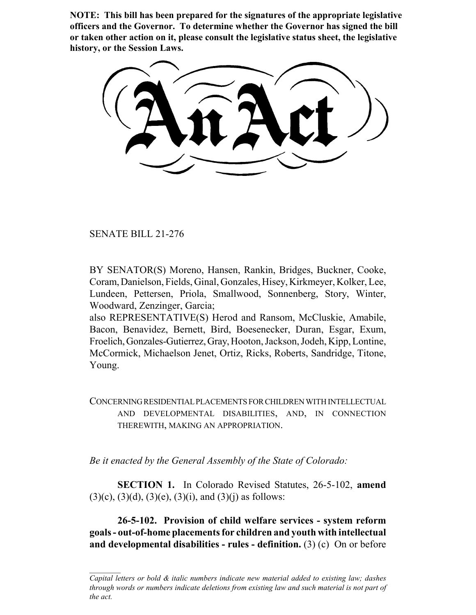**NOTE: This bill has been prepared for the signatures of the appropriate legislative officers and the Governor. To determine whether the Governor has signed the bill or taken other action on it, please consult the legislative status sheet, the legislative history, or the Session Laws.**

SENATE BILL 21-276

BY SENATOR(S) Moreno, Hansen, Rankin, Bridges, Buckner, Cooke, Coram, Danielson, Fields, Ginal, Gonzales, Hisey, Kirkmeyer, Kolker, Lee, Lundeen, Pettersen, Priola, Smallwood, Sonnenberg, Story, Winter, Woodward, Zenzinger, Garcia;

also REPRESENTATIVE(S) Herod and Ransom, McCluskie, Amabile, Bacon, Benavidez, Bernett, Bird, Boesenecker, Duran, Esgar, Exum, Froelich, Gonzales-Gutierrez, Gray, Hooton, Jackson, Jodeh, Kipp, Lontine, McCormick, Michaelson Jenet, Ortiz, Ricks, Roberts, Sandridge, Titone, Young.

CONCERNING RESIDENTIAL PLACEMENTS FOR CHILDREN WITH INTELLECTUAL AND DEVELOPMENTAL DISABILITIES, AND, IN CONNECTION THEREWITH, MAKING AN APPROPRIATION.

*Be it enacted by the General Assembly of the State of Colorado:*

**SECTION 1.** In Colorado Revised Statutes, 26-5-102, **amend**  $(3)(c)$ ,  $(3)(d)$ ,  $(3)(e)$ ,  $(3)(i)$ , and  $(3)(i)$  as follows:

**26-5-102. Provision of child welfare services - system reform goals - out-of-home placements for children and youth with intellectual and developmental disabilities - rules - definition.** (3) (c) On or before

*Capital letters or bold & italic numbers indicate new material added to existing law; dashes through words or numbers indicate deletions from existing law and such material is not part of the act.*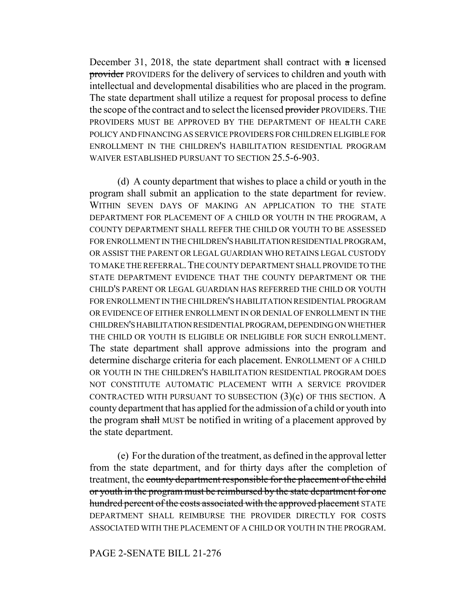December 31, 2018, the state department shall contract with a licensed provider PROVIDERS for the delivery of services to children and youth with intellectual and developmental disabilities who are placed in the program. The state department shall utilize a request for proposal process to define the scope of the contract and to select the licensed provider PROVIDERS. THE PROVIDERS MUST BE APPROVED BY THE DEPARTMENT OF HEALTH CARE POLICY AND FINANCING AS SERVICE PROVIDERS FOR CHILDREN ELIGIBLE FOR ENROLLMENT IN THE CHILDREN'S HABILITATION RESIDENTIAL PROGRAM WAIVER ESTABLISHED PURSUANT TO SECTION 25.5-6-903.

(d) A county department that wishes to place a child or youth in the program shall submit an application to the state department for review. WITHIN SEVEN DAYS OF MAKING AN APPLICATION TO THE STATE DEPARTMENT FOR PLACEMENT OF A CHILD OR YOUTH IN THE PROGRAM, A COUNTY DEPARTMENT SHALL REFER THE CHILD OR YOUTH TO BE ASSESSED FOR ENROLLMENT IN THE CHILDREN'S HABILITATION RESIDENTIAL PROGRAM, OR ASSIST THE PARENT OR LEGAL GUARDIAN WHO RETAINS LEGAL CUSTODY TO MAKE THE REFERRAL.THE COUNTY DEPARTMENT SHALL PROVIDE TO THE STATE DEPARTMENT EVIDENCE THAT THE COUNTY DEPARTMENT OR THE CHILD'S PARENT OR LEGAL GUARDIAN HAS REFERRED THE CHILD OR YOUTH FOR ENROLLMENT IN THE CHILDREN'S HABILITATION RESIDENTIAL PROGRAM OR EVIDENCE OF EITHER ENROLLMENT IN OR DENIAL OF ENROLLMENT IN THE CHILDREN'S HABILITATION RESIDENTIAL PROGRAM, DEPENDING ON WHETHER THE CHILD OR YOUTH IS ELIGIBLE OR INELIGIBLE FOR SUCH ENROLLMENT. The state department shall approve admissions into the program and determine discharge criteria for each placement. ENROLLMENT OF A CHILD OR YOUTH IN THE CHILDREN'S HABILITATION RESIDENTIAL PROGRAM DOES NOT CONSTITUTE AUTOMATIC PLACEMENT WITH A SERVICE PROVIDER CONTRACTED WITH PURSUANT TO SUBSECTION  $(3)(c)$  OF THIS SECTION. A county department that has applied for the admission of a child or youth into the program shall MUST be notified in writing of a placement approved by the state department.

(e) For the duration of the treatment, as defined in the approval letter from the state department, and for thirty days after the completion of treatment, the county department responsible for the placement of the child or youth in the program must be reimbursed by the state department for one hundred percent of the costs associated with the approved placement STATE DEPARTMENT SHALL REIMBURSE THE PROVIDER DIRECTLY FOR COSTS ASSOCIATED WITH THE PLACEMENT OF A CHILD OR YOUTH IN THE PROGRAM.

## PAGE 2-SENATE BILL 21-276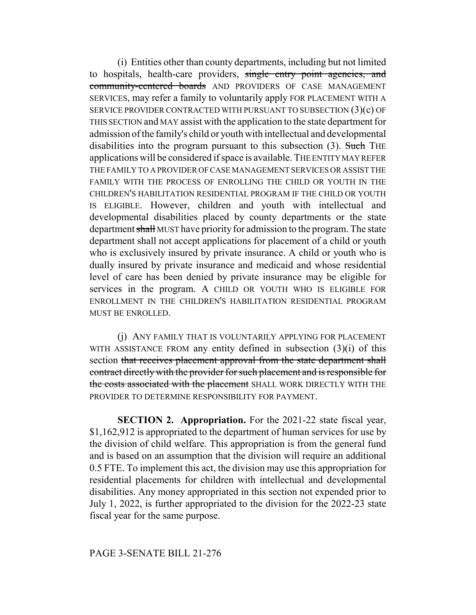(i) Entities other than county departments, including but not limited to hospitals, health-care providers, single entry point agencies, and community-centered boards AND PROVIDERS OF CASE MANAGEMENT SERVICES, may refer a family to voluntarily apply FOR PLACEMENT WITH A SERVICE PROVIDER CONTRACTED WITH PURSUANT TO SUBSECTION (3)(c) OF THIS SECTION and MAY assist with the application to the state department for admission of the family's child or youth with intellectual and developmental disabilities into the program pursuant to this subsection (3). Such THE applications will be considered if space is available. THE ENTITY MAY REFER THE FAMILY TO A PROVIDER OF CASE MANAGEMENT SERVICES OR ASSIST THE FAMILY WITH THE PROCESS OF ENROLLING THE CHILD OR YOUTH IN THE CHILDREN'S HABILITATION RESIDENTIAL PROGRAM IF THE CHILD OR YOUTH IS ELIGIBLE. However, children and youth with intellectual and developmental disabilities placed by county departments or the state department shall MUST have priority for admission to the program. The state department shall not accept applications for placement of a child or youth who is exclusively insured by private insurance. A child or youth who is dually insured by private insurance and medicaid and whose residential level of care has been denied by private insurance may be eligible for services in the program. A CHILD OR YOUTH WHO IS ELIGIBLE FOR ENROLLMENT IN THE CHILDREN'S HABILITATION RESIDENTIAL PROGRAM MUST BE ENROLLED.

(j) ANY FAMILY THAT IS VOLUNTARILY APPLYING FOR PLACEMENT WITH ASSISTANCE FROM any entity defined in subsection  $(3)(i)$  of this section that receives placement approval from the state department shall contract directly with the provider for such placement and is responsible for the costs associated with the placement SHALL WORK DIRECTLY WITH THE PROVIDER TO DETERMINE RESPONSIBILITY FOR PAYMENT.

**SECTION 2. Appropriation.** For the 2021-22 state fiscal year, \$1,162,912 is appropriated to the department of human services for use by the division of child welfare. This appropriation is from the general fund and is based on an assumption that the division will require an additional 0.5 FTE. To implement this act, the division may use this appropriation for residential placements for children with intellectual and developmental disabilities. Any money appropriated in this section not expended prior to July 1, 2022, is further appropriated to the division for the 2022-23 state fiscal year for the same purpose.

## PAGE 3-SENATE BILL 21-276